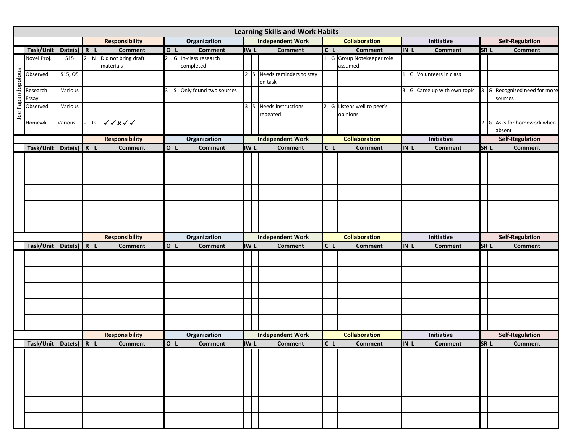|                   |                       |               |     |                                             |                |                          |             | <b>Learning Skills and Work Habits</b>  |                                  |      |                               |                 |                              |
|-------------------|-----------------------|---------------|-----|---------------------------------------------|----------------|--------------------------|-------------|-----------------------------------------|----------------------------------|------|-------------------------------|-----------------|------------------------------|
|                   |                       |               |     | <b>Responsibility</b>                       |                | Organization             |             | <b>Independent Work</b>                 | <b>Collaboration</b>             |      | Initiative                    |                 | <b>Self-Regulation</b>       |
|                   | Task/Unit             | Date(s) $R L$ |     | <b>Comment</b>                              | lo L           | <b>Comment</b>           | <b>IW L</b> | <b>Comment</b>                          | C L<br><b>Comment</b>            | IN L | <b>Comment</b>                | <b>SRL</b>      | <b>Comment</b>               |
|                   | Novel Proj.           | <b>S15</b>    |     | $\boxed{2}$ N $\boxed{Did}$ not bring draft | $\overline{2}$ | G In-class research      |             |                                         | 1 G Group Notekeeper role        |      |                               |                 |                              |
|                   |                       | S15, O5       |     | materials                                   |                | completed                |             | Needs reminders to stay<br><sub>S</sub> | assumed                          |      | G Volunteers in class         |                 |                              |
|                   | Observed              |               |     |                                             |                |                          |             | on task                                 |                                  |      |                               |                 |                              |
| Joe Papandopolous | Research              | Various       |     |                                             | ς              | S Only found two sources |             |                                         |                                  |      | $3 G $ Came up with own topic |                 | 3 G Recognized need for more |
|                   | Essay                 |               |     |                                             |                |                          |             |                                         |                                  |      |                               |                 | sources                      |
|                   | Observed              | Various       |     |                                             |                |                          | 3           | S Needs instructions                    | 2 G Listens well to peer's       |      |                               |                 |                              |
|                   |                       |               |     |                                             |                |                          |             | repeated                                | opinions                         |      |                               |                 |                              |
|                   | Homewk.               | Various       | 2 G | $\sqrt{\sqrt{x}}$                           |                |                          |             |                                         |                                  |      |                               |                 | 2 G Asks for homework when   |
|                   |                       |               |     |                                             |                |                          |             |                                         |                                  |      |                               |                 | absent                       |
|                   |                       |               |     | <b>Responsibility</b>                       |                | Organization             |             | <b>Independent Work</b>                 | <b>Collaboration</b>             |      | Initiative                    |                 | <b>Self-Regulation</b>       |
|                   | Task/Unit Date(s) R L |               |     | <b>Comment</b>                              | O L            | <b>Comment</b>           | <b>IW L</b> | <b>Comment</b>                          | C L<br><b>Comment</b>            | IN L | <b>Comment</b>                | SR <sub>L</sub> | <b>Comment</b>               |
|                   |                       |               |     |                                             |                |                          |             |                                         |                                  |      |                               |                 |                              |
|                   |                       |               |     |                                             |                |                          |             |                                         |                                  |      |                               |                 |                              |
|                   |                       |               |     |                                             |                |                          |             |                                         |                                  |      |                               |                 |                              |
|                   |                       |               |     |                                             |                |                          |             |                                         |                                  |      |                               |                 |                              |
|                   |                       |               |     |                                             |                |                          |             |                                         |                                  |      |                               |                 |                              |
|                   |                       |               |     |                                             |                |                          |             |                                         |                                  |      |                               |                 |                              |
|                   |                       |               |     |                                             |                |                          |             |                                         |                                  |      |                               |                 |                              |
|                   |                       |               |     |                                             |                |                          |             |                                         |                                  |      |                               |                 |                              |
|                   |                       |               |     | <b>Responsibility</b>                       |                | Organization             |             | <b>Independent Work</b>                 | <b>Collaboration</b>             |      | Initiative                    |                 | <b>Self-Regulation</b>       |
|                   | Task/Unit Date(s) R L |               |     | <b>Comment</b>                              | O L            | <b>Comment</b>           | <b>IW L</b> | Comment                                 | $\overline{C}$<br>Comment        | IN L | <b>Comment</b>                | SR <sub>L</sub> | <b>Comment</b>               |
|                   |                       |               |     |                                             |                |                          |             |                                         |                                  |      |                               |                 |                              |
|                   |                       |               |     |                                             |                |                          |             |                                         |                                  |      |                               |                 |                              |
|                   |                       |               |     |                                             |                |                          |             |                                         |                                  |      |                               |                 |                              |
|                   |                       |               |     |                                             |                |                          |             |                                         |                                  |      |                               |                 |                              |
|                   |                       |               |     |                                             |                |                          |             |                                         |                                  |      |                               |                 |                              |
|                   |                       |               |     |                                             |                |                          |             |                                         |                                  |      |                               |                 |                              |
|                   |                       |               |     |                                             |                |                          |             |                                         |                                  |      |                               |                 |                              |
|                   |                       |               |     |                                             |                |                          |             |                                         |                                  |      |                               |                 |                              |
|                   |                       |               |     |                                             |                |                          |             |                                         |                                  |      |                               |                 |                              |
|                   |                       |               |     | <b>Responsibility</b>                       |                | Organization             |             | <b>Independent Work</b>                 | <b>Collaboration</b>             |      | Initiative                    |                 | <b>Self-Regulation</b>       |
|                   | Task/Unit Date(s) R L |               |     | <b>Comment</b>                              | O L            | <b>Comment</b>           | <b>IW L</b> | <b>Comment</b>                          | C <sub>L</sub><br><b>Comment</b> | IN L | <b>Comment</b>                | SR <sub>L</sub> | <b>Comment</b>               |
|                   |                       |               |     |                                             |                |                          |             |                                         |                                  |      |                               |                 |                              |
|                   |                       |               |     |                                             |                |                          |             |                                         |                                  |      |                               |                 |                              |
|                   |                       |               |     |                                             |                |                          |             |                                         |                                  |      |                               |                 |                              |
|                   |                       |               |     |                                             |                |                          |             |                                         |                                  |      |                               |                 |                              |
|                   |                       |               |     |                                             |                |                          |             |                                         |                                  |      |                               |                 |                              |
|                   |                       |               |     |                                             |                |                          |             |                                         |                                  |      |                               |                 |                              |
|                   |                       |               |     |                                             |                |                          |             |                                         |                                  |      |                               |                 |                              |
|                   |                       |               |     |                                             |                |                          |             |                                         |                                  |      |                               |                 |                              |